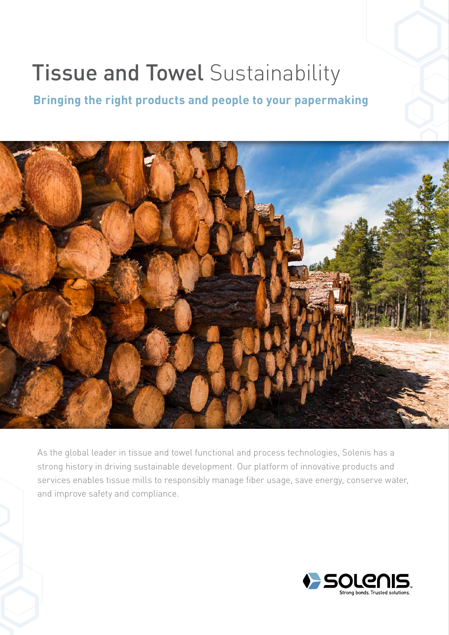# **Tissue and Towel Sustainability**

**Bringing the right products and people to your papermaking**



As the global leader in tissue and towel functional and process technologies, Solenis has a strong history in driving sustainable development. Our platform of innovative products and services enables tissue mills to responsibly manage fiber usage, save energy, conserve water, and improve safety and compliance.

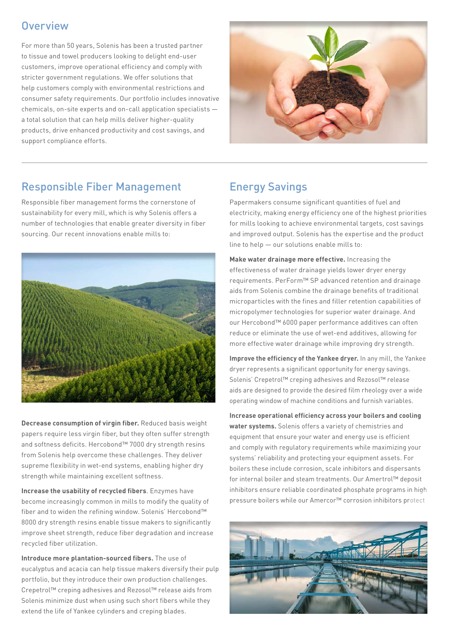#### **Overview**

For more than 50 years, Solenis has been a trusted partner to tissue and towel producers looking to delight end-user customers, improve operational efficiency and comply with stricter government regulations. We offer solutions that help customers comply with environmental restrictions and consumer safety requirements. Our portfolio includes innovative chemicals, on-site experts and on-call application specialists a total solution that can help mills deliver higher-quality products, drive enhanced productivity and cost savings, and support compliance efforts.



#### Responsible Fiber Management

Responsible fiber management forms the cornerstone of sustainability for every mill, which is why Solenis offers a number of technologies that enable greater diversity in fiber sourcing. Our recent innovations enable mills to:



**Decrease consumption of virgin fiber.** Reduced basis weight papers require less virgin fiber, but they often suffer strength and softness deficits. Hercobond™ 7000 dry strength resins from Solenis help overcome these challenges. They deliver supreme flexibility in wet-end systems, enabling higher dry strength while maintaining excellent softness.

**Increase the usability of recycled fibers**. Enzymes have become increasingly common in mills to modify the quality of fiber and to widen the refining window. Solenis' Hercobond™ 8000 dry strength resins enable tissue makers to significantly improve sheet strength, reduce fiber degradation and increase recycled fiber utilization.

**Introduce more plantation-sourced fibers.** The use of eucalyptus and acacia can help tissue makers diversify their pulp portfolio, but they introduce their own production challenges. Crepetrol™ creping adhesives and Rezosol™ release aids from Solenis minimize dust when using such short fibers while they extend the life of Yankee cylinders and creping blades.

#### Energy Savings

Papermakers consume significant quantities of fuel and electricity, making energy efficiency one of the highest priorities for mills looking to achieve environmental targets, cost savings and improved output. Solenis has the expertise and the product line to help — our solutions enable mills to:

**Make water drainage more effective.** Increasing the effectiveness of water drainage yields lower dryer energy requirements. PerForm™ SP advanced retention and drainage aids from Solenis combine the drainage benefits of traditional microparticles with the fines and filler retention capabilities of micropolymer technologies for superior water drainage. And our Hercobond™ 6000 paper performance additives can often reduce or eliminate the use of wet-end additives, allowing for more effective water drainage while improving dry strength.

**Improve the efficiency of the Yankee dryer.** In any mill, the Yankee dryer represents a significant opportunity for energy savings. Solenis' Crepetrol™ creping adhesives and Rezosol™ release aids are designed to provide the desired film rheology over a wide operating window of machine conditions and furnish variables.

**Increase operational efficiency across your boilers and cooling water systems.** Solenis offers a variety of chemistries and equipment that ensure your water and energy use is efficient and comply with regulatory requirements while maximizing your systems' reliability and protecting your equipment assets. For boilers these include corrosion, scale inhibitors and dispersants for internal boiler and steam treatments. Our Amertrol™ deposit inhibitors ensure reliable coordinated phosphate programs in high pressure boilers while our Amercor™ corrosion inhibitors protect

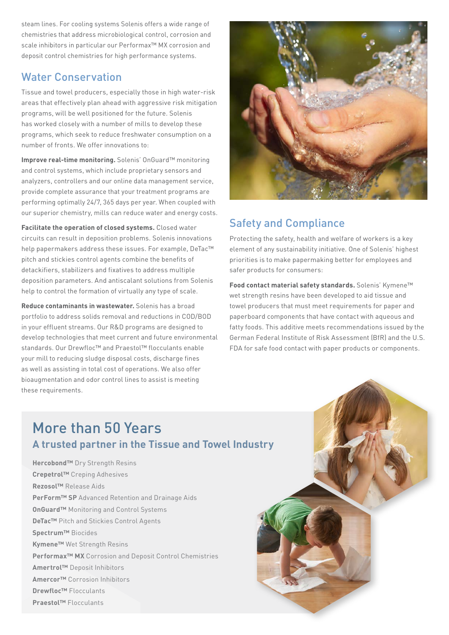steam lines. For cooling systems Solenis offers a wide range of chemistries that address microbiological control, corrosion and scale inhibitors in particular our Performax™ MX corrosion and deposit control chemistries for high performance systems.

#### Water Conservation

Tissue and towel producers, especially those in high water-risk areas that effectively plan ahead with aggressive risk mitigation programs, will be well positioned for the future. Solenis has worked closely with a number of mills to develop these programs, which seek to reduce freshwater consumption on a number of fronts. We offer innovations to:

**Improve real-time monitoring.** Solenis' OnGuard™ monitoring and control systems, which include proprietary sensors and analyzers, controllers and our online data management service, provide complete assurance that your treatment programs are performing optimally 24/7, 365 days per year. When coupled with our superior chemistry, mills can reduce water and energy costs.

**Facilitate the operation of closed systems.** Closed water circuits can result in deposition problems. Solenis innovations help papermakers address these issues. For example, DeTac™ pitch and stickies control agents combine the benefits of detackifiers, stabilizers and fixatives to address multiple deposition parameters. And antiscalant solutions from Solenis help to control the formation of virtually any type of scale.

**Reduce contaminants in wastewater.** Solenis has a broad portfolio to address solids removal and reductions in COD/BOD in your effluent streams. Our R&D programs are designed to develop technologies that meet current and future environmental standards. Our Drewfloc™ and Praestol™ flocculants enable your mill to reducing sludge disposal costs, discharge fines as well as assisting in total cost of operations. We also offer bioaugmentation and odor control lines to assist is meeting these requirements.



### Safety and Compliance

Protecting the safety, health and welfare of workers is a key element of any sustainability initiative. One of Solenis' highest priorities is to make papermaking better for employees and safer products for consumers:

**Food contact material safety standards.** Solenis' Kymene™ wet strength resins have been developed to aid tissue and towel producers that must meet requirements for paper and paperboard components that have contact with aqueous and fatty foods. This additive meets recommendations issued by the German Federal Institute of Risk Assessment (BfR) and the U.S. FDA for safe food contact with paper products or components.

### More than 50 Years **A trusted partner in the Tissue and Towel Industry**

**Hercobond™** Dry Strength Resins **Crepetrol™** Creping Adhesives **Rezosol™** Release Aids **PerForm™ SP** Advanced Retention and Drainage Aids **OnGuard™** Monitoring and Control Systems **DeTac™** Pitch and Stickies Control Agents **Spectrum™** Biocides **Kymene™** Wet Strength Resins **Performax™ MX** Corrosion and Deposit Control Chemistries **Amertrol™** Deposit Inhibitors **Amercor™** Corrosion Inhibitors **Drewfloc™** Flocculants **Praestol™** Flocculants